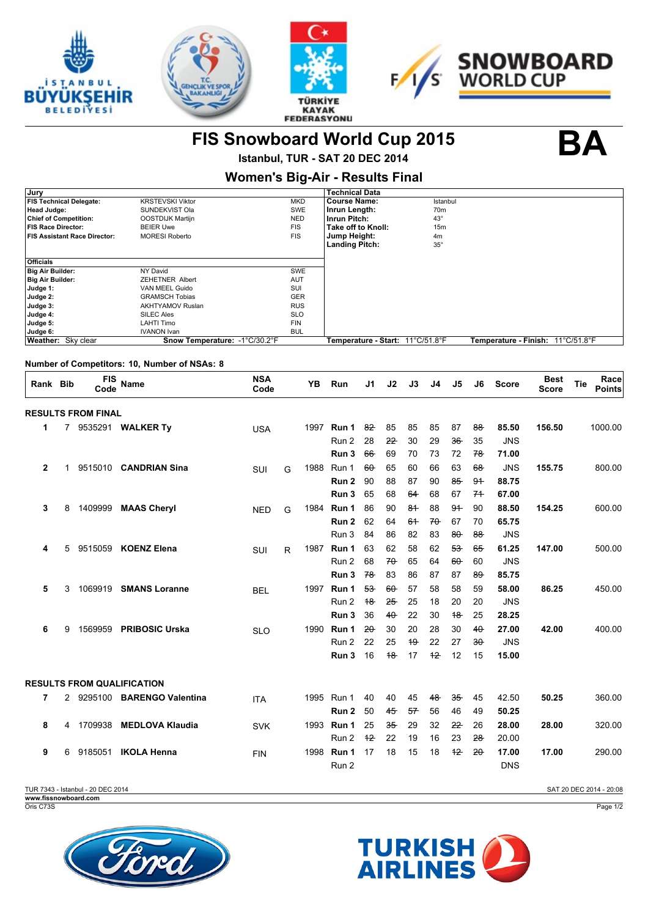







**FIS Snowboard World Cup 2015 BA**

**Istanbul, TUR - SAT 20 DEC 2014 Women's Big-Air - Results Final**

| Jury                           |                               |            | <b>Technical Data</b>            |                 |                                   |  |
|--------------------------------|-------------------------------|------------|----------------------------------|-----------------|-----------------------------------|--|
| <b>FIS Technical Delegate:</b> | <b>KRSTEVSKI Viktor</b>       | <b>MKD</b> | <b>Course Name:</b>              | Istanbul        |                                   |  |
| <b>Head Judge:</b>             | SUNDEKVIST Ola                | SWE        | Inrun Length:                    | 70 <sub>m</sub> |                                   |  |
| <b>Chief of Competition:</b>   | OOSTDIJK Martijn              | <b>NED</b> | Inrun Pitch:                     | $43^\circ$      |                                   |  |
| FIS Race Director:             | <b>BEIER Uwe</b>              | <b>FIS</b> | Take off to Knoll:               | 15 <sub>m</sub> |                                   |  |
| FIS Assistant Race Director:   | <b>MORESI Roberto</b>         | <b>FIS</b> | Jump Height:                     | 4m              |                                   |  |
|                                |                               |            | <b>Landing Pitch:</b>            | $35^\circ$      |                                   |  |
| <b>Officials</b>               |                               |            |                                  |                 |                                   |  |
| Big Air Builder:               | NY David                      | SWE        |                                  |                 |                                   |  |
| Big Air Builder:               | <b>ZEHETNER Albert</b>        | <b>AUT</b> |                                  |                 |                                   |  |
| Judge 1:                       | VAN MEEL Guido                | SUI        |                                  |                 |                                   |  |
| Judge 2:                       | <b>GRAMSCH Tobias</b>         | <b>GER</b> |                                  |                 |                                   |  |
| Judge 3:                       | <b>AKHTYAMOV Ruslan</b>       | <b>RUS</b> |                                  |                 |                                   |  |
| Judge 4:                       | <b>SILEC Ales</b>             | <b>SLO</b> |                                  |                 |                                   |  |
| Judge 5:                       | <b>LAHTI Timo</b>             | <b>FIN</b> |                                  |                 |                                   |  |
| Judge 6:                       | <b>IVANON Ivan</b>            | <b>BUL</b> |                                  |                 |                                   |  |
| Weather: Sky clear             | Snow Temperature: -1°C/30.2°F |            | Temperature - Start: 11°C/51.8°F |                 | Temperature - Finish: 11°C/51.8°F |  |
|                                |                               |            |                                  |                 |                                   |  |

## **Number of Competitors: 10, Number of NSAs: 8**

| Rank Bib     |              | <b>FIS</b><br>Code        | <b>Name</b>                       | <b>NSA</b><br>Code |   | <b>YB</b> | Run            | J1       | J2           | J3             | J <sub>4</sub> | J5             | J6       | <b>Score</b>        | <b>Best</b><br><b>Score</b> | Race<br>Tie<br><b>Points</b> |
|--------------|--------------|---------------------------|-----------------------------------|--------------------|---|-----------|----------------|----------|--------------|----------------|----------------|----------------|----------|---------------------|-----------------------------|------------------------------|
|              |              | <b>RESULTS FROM FINAL</b> |                                   |                    |   |           |                |          |              |                |                |                |          |                     |                             |                              |
| 1            |              |                           | 7 9535291 WALKER Ty               | <b>USA</b>         |   | 1997      | Run 1          | 82       | 85           | 85             | 85             | 87             | 88       | 85.50               | 156.50                      | 1000.00                      |
|              |              |                           |                                   |                    |   |           | Run 2          | 28       | 22           | 30             | 29             | 36             | 35       | <b>JNS</b>          |                             |                              |
|              |              |                           |                                   |                    |   |           | Run 3          | 66       | 69           | 70             | 73             | 72             | 78       | 71.00               |                             |                              |
| $\mathbf{2}$ | $\mathbf{1}$ | 9515010                   | <b>CANDRIAN Sina</b>              | SUI                | G | 1988      | Run 1          | $60 -$   | 65           | 60             | 66             | 63             | $68 -$   | <b>JNS</b>          | 155.75                      | 800.00                       |
|              |              |                           |                                   |                    |   |           | Run 2          | 90       | 88           | 87             | 90             | $85 -$         | 94       | 88.75               |                             |                              |
|              |              |                           |                                   |                    |   |           | Run 3          | 65       | 68           | 64             | 68             | 67             | 74       | 67.00               |                             |                              |
| 3            | 8            | 1409999                   | <b>MAAS Cheryl</b>                | <b>NED</b>         | G | 1984      | Run 1          | 86       | 90           | 8 <sup>4</sup> | 88             | 9 <sup>4</sup> | 90       | 88.50               | 154.25                      | 600.00                       |
|              |              |                           |                                   |                    |   |           | Run 2          | 62       | 64           | 64             | $70 -$         | 67             | 70       | 65.75               |                             |                              |
|              |              |                           |                                   |                    |   |           | Run 3          | 84       | 86           | 82             | 83             | $80 -$         | $88 -$   | <b>JNS</b>          |                             |                              |
| 4            | 5            | 9515059                   | <b>KOENZ Elena</b>                | SUI                | R | 1987      | Run 1          | 63       | 62           | 58             | 62             | $53 -$         | 65       | 61.25               | 147.00                      | 500.00                       |
|              |              |                           |                                   |                    |   |           | Run 2          | 68       | $70 -$       | 65             | 64             | $60 -$         | 60       | <b>JNS</b>          |                             |                              |
|              |              |                           |                                   |                    |   |           | Run 3          | 78       | 83           | 86             | 87             | 87             | 89       | 85.75               |                             |                              |
| 5            | 3            | 1069919                   | <b>SMANS Loranne</b>              | <b>BEL</b>         |   | 1997      | Run 1          | $53 -$   | $60 -$       | 57             | 58             | 58             | 59       | 58.00               | 86.25                       | 450.00                       |
|              |              |                           |                                   |                    |   |           | Run 2<br>Run 3 | 18<br>36 | 25<br>$40 -$ | 25<br>22       | 18<br>30       | 20<br>18       | 20<br>25 | <b>JNS</b><br>28.25 |                             |                              |
| 6            | 9            | 1569959                   | <b>PRIBOSIC Urska</b>             |                    |   | 1990      | Run 1          | 20       | 30           | 20             | 28             | 30             | $40 -$   | 27.00               | 42.00                       | 400.00                       |
|              |              |                           |                                   | <b>SLO</b>         |   |           | Run 2          | 22       | 25           | 19             | 22             | 27             | $30 -$   | <b>JNS</b>          |                             |                              |
|              |              |                           |                                   |                    |   |           | Run 3          | 16       | 18           | 17             | $+2$           | 12             | 15       | 15.00               |                             |                              |
|              |              |                           |                                   |                    |   |           |                |          |              |                |                |                |          |                     |                             |                              |
|              |              |                           | <b>RESULTS FROM QUALIFICATION</b> |                    |   |           |                |          |              |                |                |                |          |                     |                             |                              |
| 7            |              | 2 9295100                 | <b>BARENGO Valentina</b>          | <b>ITA</b>         |   |           | 1995 Run 1     | 40       | 40           | 45             | 48             | $35 -$         | 45       | 42.50               | 50.25                       | 360.00                       |
|              |              |                           |                                   |                    |   |           | Run 2          | 50       | 45           | 57             | 56             | 46             | 49       | 50.25               |                             |                              |
| 8            | 4            | 1709938                   | <b>MEDLOVA Klaudia</b>            | <b>SVK</b>         |   |           | 1993 Run 1     | 25       | 35           | 29             | 32             | 22             | 26       | 28.00               | 28.00                       | 320.00                       |
|              |              |                           |                                   |                    |   |           | Run 2          | $+2$     | 22           | 19             | 16             | 23             | $28 -$   | 20.00               |                             |                              |
| 9            | 6            | 9185051                   | <b>IKOLA Henna</b>                | <b>FIN</b>         |   | 1998      | Run 1          | 17       | 18           | 15             | 18             | $+2$           | $20 -$   | 17.00               | 17.00                       | 290.00                       |
|              |              |                           |                                   |                    |   |           | Run 2          |          |              |                |                |                |          | <b>DNS</b>          |                             |                              |
|              |              |                           |                                   |                    |   |           |                |          |              |                |                |                |          |                     |                             |                              |

SAT 20 DEC 2014 - 20:08

Oris C73S **www.fissnowboard.com**

TUR 7343 - Istanbul - 20 DEC 2014





Page 1/2